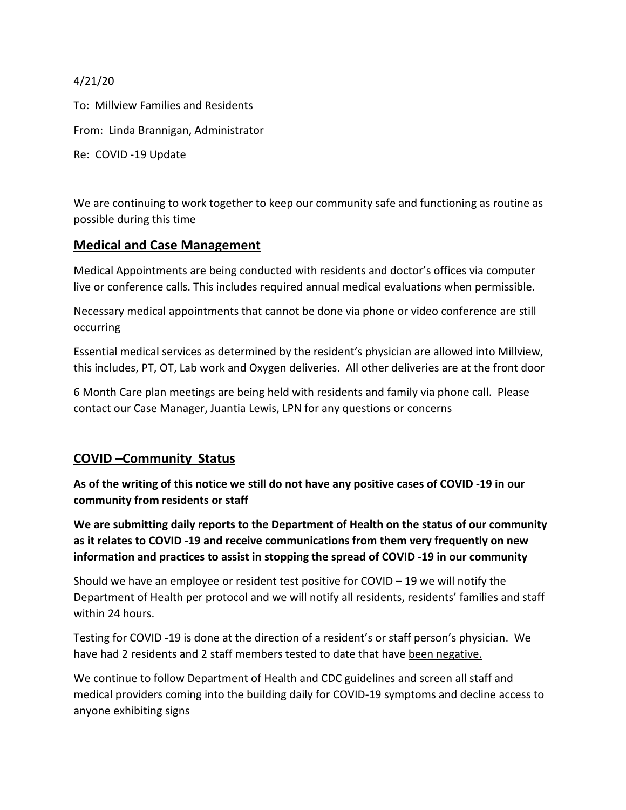4/21/20

To: Millview Families and Residents From: Linda Brannigan, Administrator Re: COVID -19 Update

We are continuing to work together to keep our community safe and functioning as routine as possible during this time

## **Medical and Case Management**

Medical Appointments are being conducted with residents and doctor's offices via computer live or conference calls. This includes required annual medical evaluations when permissible.

Necessary medical appointments that cannot be done via phone or video conference are still occurring

Essential medical services as determined by the resident's physician are allowed into Millview, this includes, PT, OT, Lab work and Oxygen deliveries. All other deliveries are at the front door

6 Month Care plan meetings are being held with residents and family via phone call. Please contact our Case Manager, Juantia Lewis, LPN for any questions or concerns

## **COVID –Community Status**

**As of the writing of this notice we still do not have any positive cases of COVID -19 in our community from residents or staff**

**We are submitting daily reports to the Department of Health on the status of our community as it relates to COVID -19 and receive communications from them very frequently on new information and practices to assist in stopping the spread of COVID -19 in our community** 

Should we have an employee or resident test positive for COVID – 19 we will notify the Department of Health per protocol and we will notify all residents, residents' families and staff within 24 hours.

Testing for COVID -19 is done at the direction of a resident's or staff person's physician. We have had 2 residents and 2 staff members tested to date that have been negative.

We continue to follow Department of Health and CDC guidelines and screen all staff and medical providers coming into the building daily for COVID-19 symptoms and decline access to anyone exhibiting signs